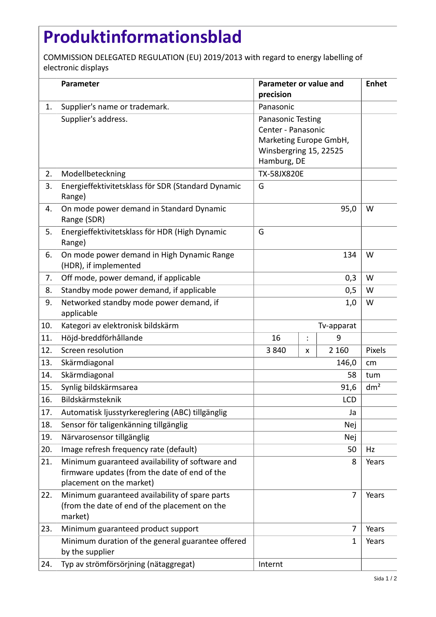## **Produktinformationsblad**

COMMISSION DELEGATED REGULATION (EU) 2019/2013 with regard to energy labelling of electronic displays

|     | Parameter                                                                                                                    | Parameter or value and<br>precision                                                                        |                 |         | <b>Enhet</b> |
|-----|------------------------------------------------------------------------------------------------------------------------------|------------------------------------------------------------------------------------------------------------|-----------------|---------|--------------|
| 1.  | Supplier's name or trademark.                                                                                                | Panasonic                                                                                                  |                 |         |              |
|     | Supplier's address.                                                                                                          | Panasonic Testing<br>Center - Panasonic<br>Marketing Europe GmbH,<br>Winsbergring 15, 22525<br>Hamburg, DE |                 |         |              |
| 2.  | Modellbeteckning                                                                                                             | <b>TX-58JX820E</b>                                                                                         |                 |         |              |
| 3.  | Energieffektivitetsklass för SDR (Standard Dynamic<br>Range)                                                                 | G                                                                                                          |                 |         |              |
| 4.  | On mode power demand in Standard Dynamic<br>Range (SDR)                                                                      |                                                                                                            | W               |         |              |
| 5.  | Energieffektivitetsklass för HDR (High Dynamic<br>Range)                                                                     | G                                                                                                          |                 |         |              |
| 6.  | On mode power demand in High Dynamic Range<br>(HDR), if implemented                                                          | 134                                                                                                        |                 |         | W            |
| 7.  | Off mode, power demand, if applicable                                                                                        | 0,3                                                                                                        |                 |         | W            |
| 8.  | Standby mode power demand, if applicable                                                                                     | 0,5                                                                                                        |                 |         | W            |
| 9.  | Networked standby mode power demand, if<br>applicable                                                                        |                                                                                                            |                 | 1,0     | W            |
| 10. | Kategori av elektronisk bildskärm                                                                                            | Tv-apparat                                                                                                 |                 |         |              |
| 11. | Höjd-breddförhållande                                                                                                        | 16                                                                                                         | $\ddot{\cdot}$  | 9       |              |
| 12. | Screen resolution                                                                                                            | 3840                                                                                                       | X               | 2 1 6 0 | Pixels       |
| 13. | Skärmdiagonal                                                                                                                |                                                                                                            | cm              |         |              |
| 14. | Skärmdiagonal                                                                                                                |                                                                                                            | tum             |         |              |
| 15. | Synlig bildskärmsarea                                                                                                        |                                                                                                            | dm <sup>2</sup> |         |              |
| 16. | Bildskärmsteknik                                                                                                             |                                                                                                            |                 |         |              |
| 17. | Automatisk ljusstyrkereglering (ABC) tillgänglig                                                                             | Ja                                                                                                         |                 |         |              |
| 18. | Sensor för taligenkänning tillgänglig                                                                                        | Nej                                                                                                        |                 |         |              |
| 19. | Närvarosensor tillgänglig                                                                                                    | Nej                                                                                                        |                 |         |              |
| 20. | Image refresh frequency rate (default)                                                                                       | 50                                                                                                         |                 |         | Hz           |
| 21. | Minimum guaranteed availability of software and<br>firmware updates (from the date of end of the<br>placement on the market) | 8                                                                                                          |                 |         | Years        |
| 22. | Minimum guaranteed availability of spare parts<br>(from the date of end of the placement on the<br>market)                   |                                                                                                            |                 | 7       | Years        |
| 23. | Minimum guaranteed product support                                                                                           |                                                                                                            |                 | 7       | Years        |
|     | Minimum duration of the general guarantee offered<br>by the supplier                                                         |                                                                                                            |                 | 1       | Years        |
| 24. | Typ av strömförsörjning (nätaggregat)                                                                                        | Internt                                                                                                    |                 |         |              |